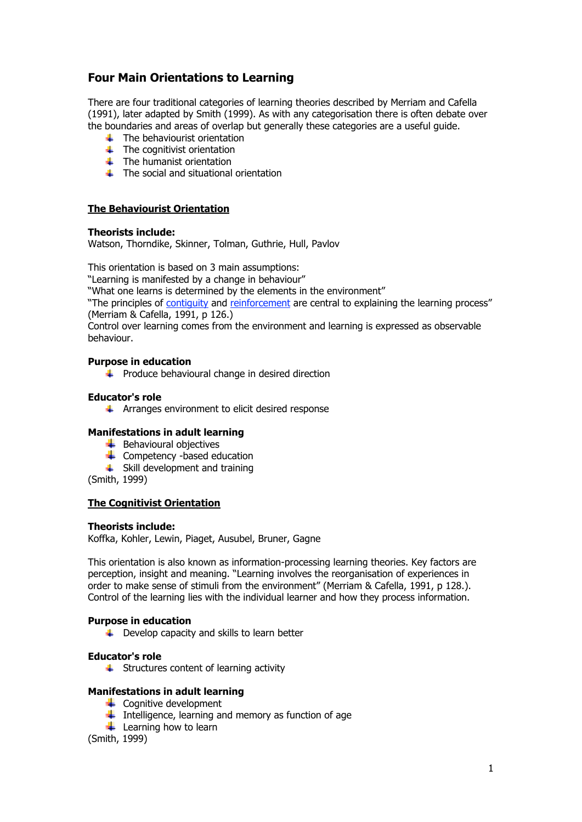# **Four Main Orientations to Learning**

There are four traditional categories of learning theories described by Merriam and Cafella (1991), later adapted by Smith (1999). As with any categorisation there is often debate over the boundaries and areas of overlap but generally these categories are a useful guide.

- $\leftarrow$  The behaviourist orientation
- $\leftarrow$  The cognitivist orientation
- $\overline{\phantom{a}}$  The humanist orientation
- $\pm$  The social and situational orientation

## **The Behaviourist Orientation**

## **Theorists include:**

Watson, Thorndike, Skinner, Tolman, Guthrie, Hull, Pavlov

This orientation is based on 3 main assumptions:

"Learning is manifested by a change in behaviour"

"What one learns is determined by the elements in the environment"

"The principles of contiguity and reinforcement are central to explaining the learning process" (Merriam & Cafella, 1991, p 126.)

Control over learning comes from the environment and learning is expressed as observable behaviour.

#### **Purpose in education**

 $\ddot{\phantom{1}}$  Produce behavioural change in desired direction

## **Educator's role**

 $\uparrow$  Arranges environment to elicit desired response

## **Manifestations in adult learning**

- $\bigstar$  Behavioural objectives
- $\leftarrow$  Competency -based education
- $\leftarrow$  Skill development and training

(Smith, 1999)

## **The Cognitivist Orientation**

## **Theorists include:**

Koffka, Kohler, Lewin, Piaget, Ausubel, Bruner, Gagne

This orientation is also known as information-processing learning theories. Key factors are perception, insight and meaning. "Learning involves the reorganisation of experiences in order to make sense of stimuli from the environment" (Merriam & Cafella, 1991, p 128.). Control of the learning lies with the individual learner and how they process information.

## **Purpose in education**

 $\downarrow$  Develop capacity and skills to learn better

#### **Educator's role**

 $\overline{\phantom{a} \bullet}$  Structures content of learning activity

## **Manifestations in adult learning**

- $\leftarrow$  Cognitive development
- Intelligence, learning and memory as function of age
- $\frac{1}{\sqrt{2}}$  Learning how to learn

(Smith, 1999)